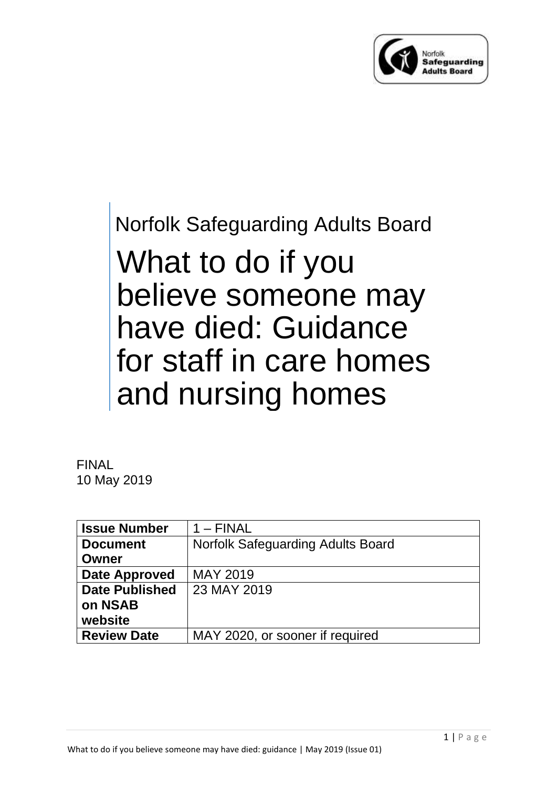

# Norfolk Safeguarding Adults Board What to do if you believe someone may have died: Guidance for staff in care homes and nursing homes

FINAL 10 May 2019

| <b>Issue Number</b>   | $1 - FINAL$                       |
|-----------------------|-----------------------------------|
| <b>Document</b>       | Norfolk Safeguarding Adults Board |
| Owner                 |                                   |
| Date Approved         | <b>MAY 2019</b>                   |
| <b>Date Published</b> | 23 MAY 2019                       |
| on NSAB               |                                   |
| website               |                                   |
| <b>Review Date</b>    | MAY 2020, or sooner if required   |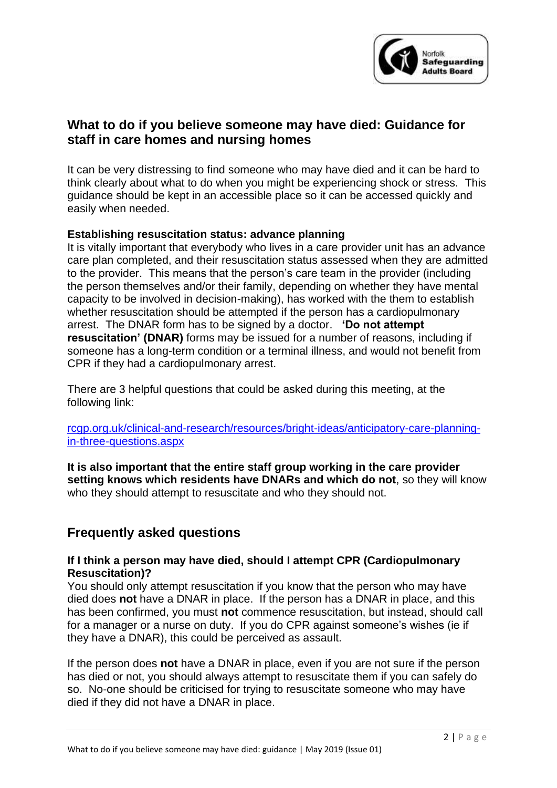

# **What to do if you believe someone may have died: Guidance for staff in care homes and nursing homes**

It can be very distressing to find someone who may have died and it can be hard to think clearly about what to do when you might be experiencing shock or stress. This guidance should be kept in an accessible place so it can be accessed quickly and easily when needed.

# **Establishing resuscitation status: advance planning**

It is vitally important that everybody who lives in a care provider unit has an advance care plan completed, and their resuscitation status assessed when they are admitted to the provider. This means that the person's care team in the provider (including the person themselves and/or their family, depending on whether they have mental capacity to be involved in decision-making), has worked with the them to establish whether resuscitation should be attempted if the person has a cardiopulmonary arrest. The DNAR form has to be signed by a doctor. **'Do not attempt resuscitation' (DNAR)** forms may be issued for a number of reasons, including if someone has a long-term condition or a terminal illness, and would not benefit from CPR if they had a cardiopulmonary arrest.

There are 3 helpful questions that could be asked during this meeting, at the following link:

[rcgp.org.uk/clinical-and-research/resources/bright-ideas/anticipatory-care-planning](https://www.rcgp.org.uk/clinical-and-research/resources/bright-ideas/anticipatory-care-planning-in-three-questions.aspx)[in-three-questions.aspx](https://www.rcgp.org.uk/clinical-and-research/resources/bright-ideas/anticipatory-care-planning-in-three-questions.aspx)

**It is also important that the entire staff group working in the care provider setting knows which residents have DNARs and which do not**, so they will know who they should attempt to resuscitate and who they should not.

# **Frequently asked questions**

### **If I think a person may have died, should I attempt CPR (Cardiopulmonary Resuscitation)?**

You should only attempt resuscitation if you know that the person who may have died does **not** have a DNAR in place. If the person has a DNAR in place, and this has been confirmed, you must **not** commence resuscitation, but instead, should call for a manager or a nurse on duty. If you do CPR against someone's wishes (ie if they have a DNAR), this could be perceived as assault.

If the person does **not** have a DNAR in place, even if you are not sure if the person has died or not, you should always attempt to resuscitate them if you can safely do so. No-one should be criticised for trying to resuscitate someone who may have died if they did not have a DNAR in place.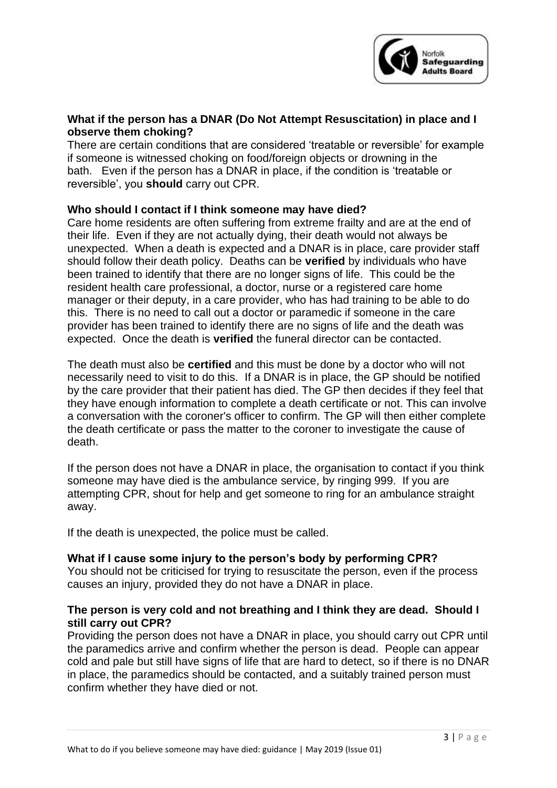

# **What if the person has a DNAR (Do Not Attempt Resuscitation) in place and I observe them choking?**

There are certain conditions that are considered 'treatable or reversible' for example if someone is witnessed choking on food/foreign objects or drowning in the bath. Even if the person has a DNAR in place, if the condition is 'treatable or reversible', you **should** carry out CPR.

# **Who should I contact if I think someone may have died?**

Care home residents are often suffering from extreme frailty and are at the end of their life. Even if they are not actually dying, their death would not always be unexpected. When a death is expected and a DNAR is in place, care provider staff should follow their death policy. Deaths can be **verified** by individuals who have been trained to identify that there are no longer signs of life. This could be the resident health care professional, a doctor, nurse or a registered care home manager or their deputy, in a care provider, who has had training to be able to do this. There is no need to call out a doctor or paramedic if someone in the care provider has been trained to identify there are no signs of life and the death was expected. Once the death is **verified** the funeral director can be contacted.

The death must also be **certified** and this must be done by a doctor who will not necessarily need to visit to do this. If a DNAR is in place, the GP should be notified by the care provider that their patient has died. The GP then decides if they feel that they have enough information to complete a death certificate or not. This can involve a conversation with the coroner's officer to confirm. The GP will then either complete the death certificate or pass the matter to the coroner to investigate the cause of death.

If the person does not have a DNAR in place, the organisation to contact if you think someone may have died is the ambulance service, by ringing 999. If you are attempting CPR, shout for help and get someone to ring for an ambulance straight away.

If the death is unexpected, the police must be called.

### **What if I cause some injury to the person's body by performing CPR?**

You should not be criticised for trying to resuscitate the person, even if the process causes an injury, provided they do not have a DNAR in place.

### **The person is very cold and not breathing and I think they are dead. Should I still carry out CPR?**

Providing the person does not have a DNAR in place, you should carry out CPR until the paramedics arrive and confirm whether the person is dead. People can appear cold and pale but still have signs of life that are hard to detect, so if there is no DNAR in place, the paramedics should be contacted, and a suitably trained person must confirm whether they have died or not.